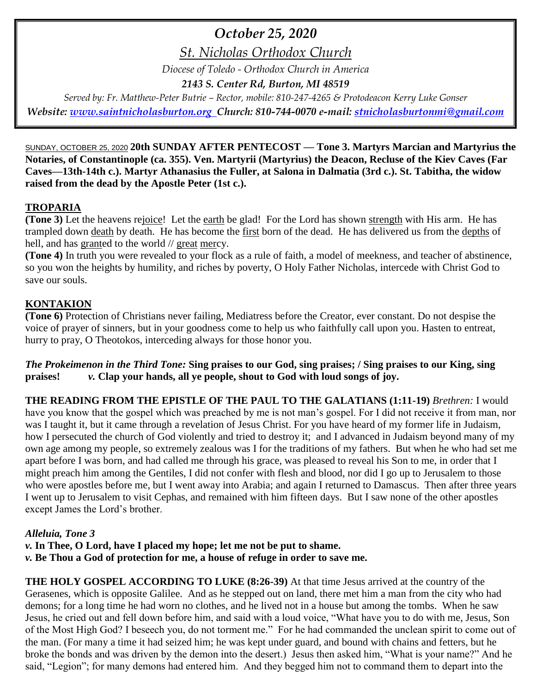# *October 25, 2020*

*St. Nicholas Orthodox Church*

*Diocese of Toledo - Orthodox Church in America*

*2143 S. Center Rd, Burton, MI 48519*

*Served by: Fr. Matthew-Peter Butrie – Rector, mobile: 810-247-4265 & Protodeacon Kerry Luke Gonser Website: [www.saintnicholasburton.org](http://www.saintnicholasburton.org/) Church: 810-744-0070 e-mail: [stnicholasburtonmi@gmail.com](mailto:stnicholasburtonmi@gmail.com)*

SUNDAY, OCTOBER 25, 2020 **20th SUNDAY AFTER PENTECOST — Tone 3. Martyrs Marcian and Martyrius the Notaries, of Constantinople (ca. 355). Ven. Martyrii (Martyrius) the Deacon, Recluse of the Kiev Caves (Far Caves—13th-14th c.). Martyr Athanasius the Fuller, at Salona in Dalmatia (3rd c.). St. Tabitha, the widow raised from the dead by the Apostle Peter (1st c.).**

# **TROPARIA**

**(Tone 3)** Let the heavens rejoice! Let the earth be glad! For the Lord has shown strength with His arm. He has trampled down death by death. He has become the first born of the dead. He has delivered us from the depths of hell, and has granted to the world // great mercy.

**(Tone 4)** In truth you were revealed to your flock as a rule of faith, a model of meekness, and teacher of abstinence, so you won the heights by humility, and riches by poverty, O Holy Father Nicholas, intercede with Christ God to save our souls.

# **KONTAKION**

**(Tone 6)** Protection of Christians never failing, Mediatress before the Creator, ever constant. Do not despise the voice of prayer of sinners, but in your goodness come to help us who faithfully call upon you. Hasten to entreat, hurry to pray, O Theotokos, interceding always for those honor you.

*The Prokeimenon in the Third Tone:* **Sing praises to our God, sing praises; / Sing praises to our King, sing praises!** *v.* **Clap your hands, all ye people, shout to God with loud songs of joy.**

**THE READING FROM THE EPISTLE OF THE PAUL TO THE GALATIANS (1:11-19)** *Brethren:* I would have you know that the gospel which was preached by me is not man's gospel. For I did not receive it from man, nor was I taught it, but it came through a revelation of Jesus Christ. For you have heard of my former life in Judaism, how I persecuted the church of God violently and tried to destroy it; and I advanced in Judaism beyond many of my own age among my people, so extremely zealous was I for the traditions of my fathers. But when he who had set me apart before I was born, and had called me through his grace, was pleased to reveal his Son to me, in order that I might preach him among the Gentiles, I did not confer with flesh and blood, nor did I go up to Jerusalem to those who were apostles before me, but I went away into Arabia; and again I returned to Damascus. Then after three years I went up to Jerusalem to visit Cephas, and remained with him fifteen days. But I saw none of the other apostles except James the Lord's brother.

# *Alleluia, Tone 3*

*v.* **In Thee, O Lord, have I placed my hope; let me not be put to shame.**

*v.* **Be Thou a God of protection for me, a house of refuge in order to save me.**

**THE HOLY GOSPEL ACCORDING TO LUKE (8:26-39)** At that time Jesus arrived at the country of the Gerasenes, which is opposite Galilee. And as he stepped out on land, there met him a man from the city who had demons; for a long time he had worn no clothes, and he lived not in a house but among the tombs. When he saw Jesus, he cried out and fell down before him, and said with a loud voice, "What have you to do with me, Jesus, Son of the Most High God? I beseech you, do not torment me." For he had commanded the unclean spirit to come out of the man. (For many a time it had seized him; he was kept under guard, and bound with chains and fetters, but he broke the bonds and was driven by the demon into the desert.) Jesus then asked him, "What is your name?" And he said, "Legion"; for many demons had entered him. And they begged him not to command them to depart into the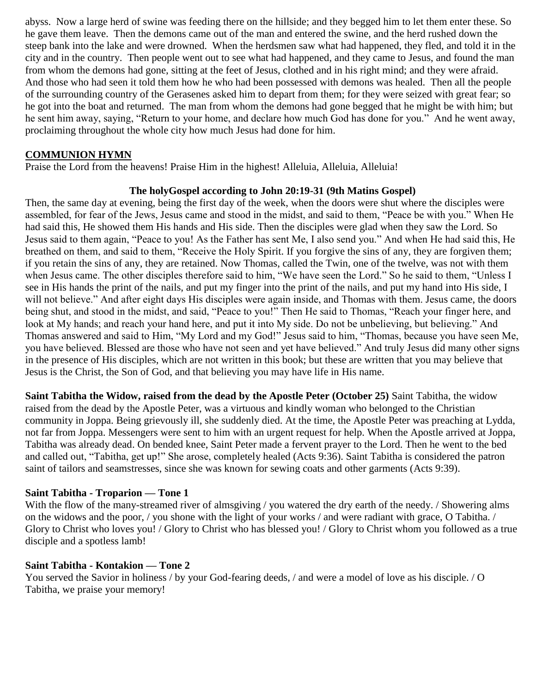abyss. Now a large herd of swine was feeding there on the hillside; and they begged him to let them enter these. So he gave them leave. Then the demons came out of the man and entered the swine, and the herd rushed down the steep bank into the lake and were drowned. When the herdsmen saw what had happened, they fled, and told it in the city and in the country. Then people went out to see what had happened, and they came to Jesus, and found the man from whom the demons had gone, sitting at the feet of Jesus, clothed and in his right mind; and they were afraid. And those who had seen it told them how he who had been possessed with demons was healed. Then all the people of the surrounding country of the Gerasenes asked him to depart from them; for they were seized with great fear; so he got into the boat and returned. The man from whom the demons had gone begged that he might be with him; but he sent him away, saying, "Return to your home, and declare how much God has done for you." And he went away, proclaiming throughout the whole city how much Jesus had done for him.

## **COMMUNION HYMN**

Praise the Lord from the heavens! Praise Him in the highest! Alleluia, Alleluia, Alleluia!

### **The holyGospel according to John 20:19-31 (9th Matins Gospel)**

Then, the same day at evening, being the first day of the week, when the doors were shut where the disciples were assembled, for fear of the Jews, Jesus came and stood in the midst, and said to them, "Peace be with you." When He had said this, He showed them His hands and His side. Then the disciples were glad when they saw the Lord. So Jesus said to them again, "Peace to you! As the Father has sent Me, I also send you." And when He had said this, He breathed on them, and said to them, "Receive the Holy Spirit. If you forgive the sins of any, they are forgiven them; if you retain the sins of any, they are retained. Now Thomas, called the Twin, one of the twelve, was not with them when Jesus came. The other disciples therefore said to him, "We have seen the Lord." So he said to them, "Unless I see in His hands the print of the nails, and put my finger into the print of the nails, and put my hand into His side, I will not believe." And after eight days His disciples were again inside, and Thomas with them. Jesus came, the doors being shut, and stood in the midst, and said, "Peace to you!" Then He said to Thomas, "Reach your finger here, and look at My hands; and reach your hand here, and put it into My side. Do not be unbelieving, but believing." And Thomas answered and said to Him, "My Lord and my God!" Jesus said to him, "Thomas, because you have seen Me, you have believed. Blessed are those who have not seen and yet have believed." And truly Jesus did many other signs in the presence of His disciples, which are not written in this book; but these are written that you may believe that Jesus is the Christ, the Son of God, and that believing you may have life in His name.

**Saint Tabitha the Widow, raised from the dead by the Apostle Peter (October 25)** Saint Tabitha, the widow raised from the dead by the Apostle Peter, was a virtuous and kindly woman who belonged to the Christian community in Joppa. Being grievously ill, she suddenly died. At the time, the Apostle Peter was preaching at Lydda, not far from Joppa. Messengers were sent to him with an urgent request for help. When the Apostle arrived at Joppa, Tabitha was already dead. On bended knee, Saint Peter made a fervent prayer to the Lord. Then he went to the bed and called out, "Tabitha, get up!" She arose, completely healed (Acts 9:36). Saint Tabitha is considered the patron saint of tailors and seamstresses, since she was known for sewing coats and other garments (Acts 9:39).

# **Saint Tabitha - Troparion — Tone 1**

With the flow of the many-streamed river of almsgiving / you watered the dry earth of the needy. / Showering alms on the widows and the poor, / you shone with the light of your works / and were radiant with grace, O Tabitha. / Glory to Christ who loves you! / Glory to Christ who has blessed you! / Glory to Christ whom you followed as a true disciple and a spotless lamb!

#### **Saint Tabitha - Kontakion — Tone 2**

You served the Savior in holiness / by your God-fearing deeds, / and were a model of love as his disciple. / O Tabitha, we praise your memory!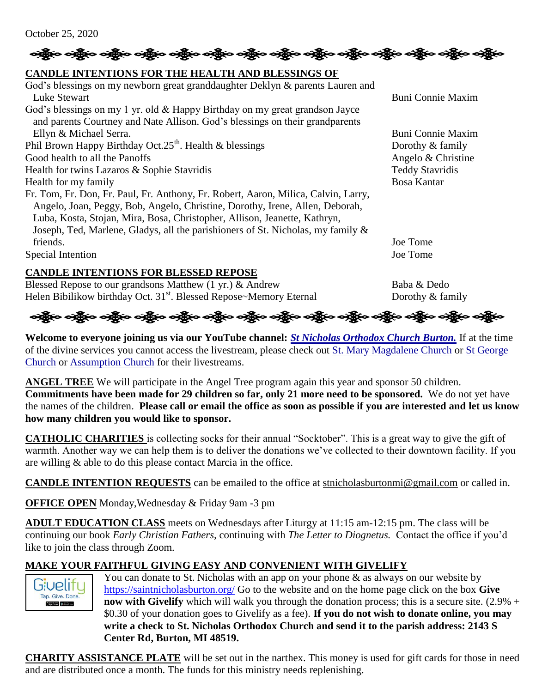

# **CANDLE INTENTIONS FOR THE HEALTH AND BLESSINGS OF**

| God's blessings on my newborn great granddaughter Deklyn & parents Lauren and                                                     |                          |
|-----------------------------------------------------------------------------------------------------------------------------------|--------------------------|
| Luke Stewart                                                                                                                      | <b>Buni Connie Maxim</b> |
| God's blessings on my 1 yr. old & Happy Birthday on my great grandson Jayce                                                       |                          |
| and parents Courtney and Nate Allison. God's blessings on their grandparents                                                      |                          |
| Ellyn & Michael Serra.                                                                                                            | <b>Buni Connie Maxim</b> |
| Phil Brown Happy Birthday Oct. $25th$ . Health & blessings                                                                        | Dorothy & family         |
| Good health to all the Panoffs                                                                                                    | Angelo & Christine       |
| Health for twins Lazaros & Sophie Stavridis                                                                                       | <b>Teddy Stavridis</b>   |
| Health for my family                                                                                                              | <b>Bosa Kantar</b>       |
| Fr. Tom, Fr. Don, Fr. Paul, Fr. Anthony, Fr. Robert, Aaron, Milica, Calvin, Larry,                                                |                          |
| Angelo, Joan, Peggy, Bob, Angelo, Christine, Dorothy, Irene, Allen, Deborah,                                                      |                          |
| Luba, Kosta, Stojan, Mira, Bosa, Christopher, Allison, Jeanette, Kathryn,                                                         |                          |
| Joseph, Ted, Marlene, Gladys, all the parishioners of St. Nicholas, my family &                                                   |                          |
| friends.                                                                                                                          | Joe Tome                 |
| Special Intention                                                                                                                 | Joe Tome                 |
| <b>CANDLE INTENTIONS FOR BLESSED REPOSE</b>                                                                                       |                          |
| $\mathbf{1}$ $\mathbf{M}$ $\mathbf{1}$ $\mathbf{1}$ $\mathbf{1}$ $\mathbf{1}$ $\mathbf{1}$ $\mathbf{1}$<br>D. 1<br>$\mathbf{1}$ T | $P_1$ $P_2$ $P_3$ $P_1$  |

Blessed Repose to our grandsons Matthew (1 yr.) & Andrew Baba & Dedo Helen Bibilikow birthday Oct. 31<sup>st</sup>. Blessed Repose~Memory Eternal Dorothy & family



**Welcome to everyone joining us via our YouTube channel:** *[St Nicholas Orthodox Church Burton.](https://www.youtube.com/channel/UC59tV-Re443z-GCoETAUvfA)* If at the time of the divine services you cannot access the livestream, please check out [St. Mary Magdalene Church](https://www.youtube.com/channel/UClHAqZrWkXdYELujbbIslHg) or [St George](https://www.youtube.com/channel/UCpLWfxMIJK4uQOV41ekE6Wg/videos?view=2&flow=grid)  [Church](https://www.youtube.com/channel/UCpLWfxMIJK4uQOV41ekE6Wg/videos?view=2&flow=grid) or [Assumption Church](https://www.facebook.com/AssumptionGrandBlanc/) for their livestreams.

**ANGEL TREE** We will participate in the Angel Tree program again this year and sponsor 50 children. **Commitments have been made for 29 children so far, only 21 more need to be sponsored.** We do not yet have the names of the children. **Please call or email the office as soon as possible if you are interested and let us know how many children you would like to sponsor.**

**CATHOLIC CHARITIES** is collecting socks for their annual "Socktober". This is a great way to give the gift of warmth. Another way we can help them is to deliver the donations we've collected to their downtown facility. If you are willing & able to do this please contact Marcia in the office.

**CANDLE INTENTION REQUESTS** can be emailed to the office at [stnicholasburtonmi@gmail.com](mailto:stnicholasburtonmi@gmail.com) or called in.

**OFFICE OPEN** Monday,Wednesday & Friday 9am -3 pm

**ADULT EDUCATION CLASS** meets on Wednesdays after Liturgy at 11:15 am-12:15 pm. The class will be continuing our book *Early Christian Fathers,* continuing with *The Letter to Diognetus.* Contact the office if you'd like to join the class through Zoom*.*

# **MAKE YOUR FAITHFUL GIVING EASY AND CONVENIENT WITH GIVELIFY**



You can donate to St. Nicholas with an app on your phone  $\&$  as always on our website by <https://saintnicholasburton.org/> Go to the website and on the home page click on the box **Give now with Givelify** which will walk you through the donation process; this is a secure site. (2.9% + \$0.30 of your donation goes to Givelify as a fee). **If you do not wish to donate online, you may write a check to St. Nicholas Orthodox Church and send it to the parish address: 2143 S Center Rd, Burton, MI 48519.**

**CHARITY ASSISTANCE PLATE** will be set out in the narthex. This money is used for gift cards for those in need and are distributed once a month. The funds for this ministry needs replenishing.